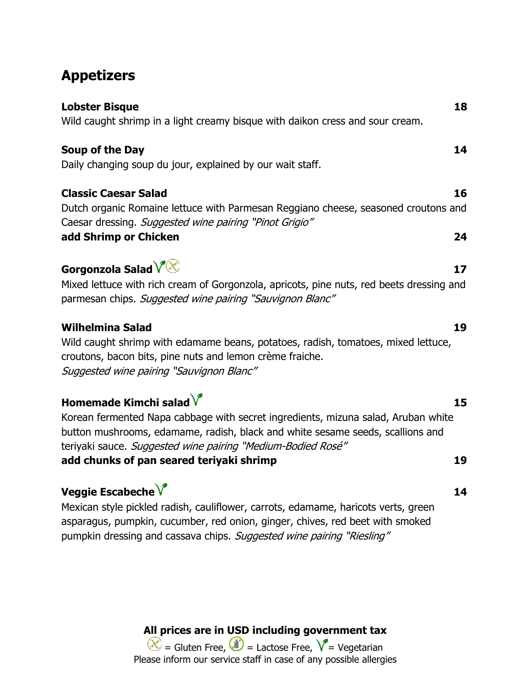# **Appetizers**

| <b>Lobster Bisque</b><br>Wild caught shrimp in a light creamy bisque with daikon cress and sour cream.                                                                                                                                                                                                      | 18       |
|-------------------------------------------------------------------------------------------------------------------------------------------------------------------------------------------------------------------------------------------------------------------------------------------------------------|----------|
| Soup of the Day<br>Daily changing soup du jour, explained by our wait staff.                                                                                                                                                                                                                                | 14       |
| <b>Classic Caesar Salad</b><br>Dutch organic Romaine lettuce with Parmesan Reggiano cheese, seasoned croutons and<br>Caesar dressing. Suggested wine pairing "Pinot Grigio"<br>add Shrimp or Chicken                                                                                                        | 16<br>24 |
| Gorgonzola Salad $\sqrt[N]{\otimes}$<br>Mixed lettuce with rich cream of Gorgonzola, apricots, pine nuts, red beets dressing and<br>parmesan chips. Suggested wine pairing "Sauvignon Blanc"                                                                                                                | 17       |
| <b>Wilhelmina Salad</b><br>Wild caught shrimp with edamame beans, potatoes, radish, tomatoes, mixed lettuce,<br>croutons, bacon bits, pine nuts and lemon crème fraiche.<br>Suggested wine pairing "Sauvignon Blanc"                                                                                        | 19       |
| Homemade Kimchi salad $V$<br>Korean fermented Napa cabbage with secret ingredients, mizuna salad, Aruban white<br>button mushrooms, edamame, radish, black and white sesame seeds, scallions and<br>teriyaki sauce. Suggested wine pairing "Medium-Bodied Rosé"<br>add chunks of pan seared teriyaki shrimp | 15<br>19 |
| Veggie Escabeche $\sqrt{\ }$                                                                                                                                                                                                                                                                                | 14       |

Mexican style pickled radish, cauliflower, carrots, edamame, haricots verts, green asparagus, pumpkin, cucumber, red onion, ginger, chives, red beet with smoked pumpkin dressing and cassava chips. Suggested wine pairing "Riesling"

**All prices are in USD including government tax**

= Gluten Free,  $\bigcup$  = Lactose Free,  $V$  = Vegetarian Please inform our service staff in case of any possible allergies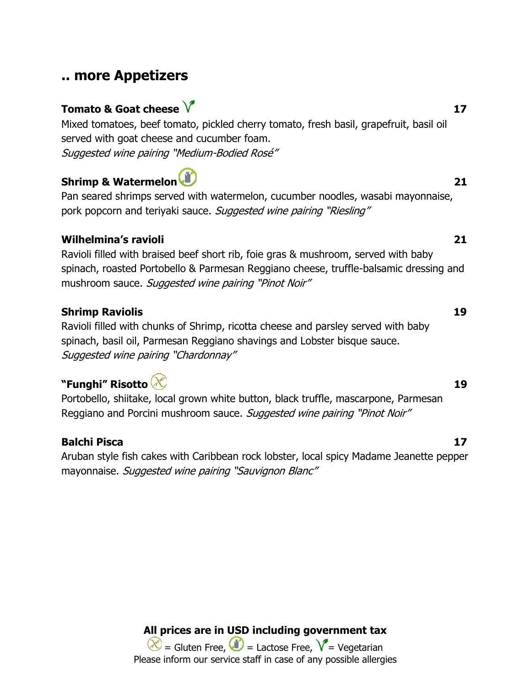## **.. more Appetizers**

# **Tomato & Goat cheese**  $\sqrt{\phantom{a}}$  **17**

Mixed tomatoes, beef tomato, pickled cherry tomato, fresh basil, grapefruit, basil oil served with goat cheese and cucumber foam. Suggested wine pairing "Medium-Bodied Rosé"

## **Shrimp & Watermelon 21 21**

Pan seared shrimps served with watermelon, cucumber noodles, wasabi mayonnaise, pork popcorn and teriyaki sauce. Suggested wine pairing "Riesling"

### **Wilhelmina's ravioli 21**

Ravioli filled with braised beef short rib, foie gras & mushroom, served with baby spinach, roasted Portobello & Parmesan Reggiano cheese, truffle-balsamic dressing and mushroom sauce. Suggested wine pairing "Pinot Noir"

### **Shrimp Raviolis 19**

Ravioli filled with chunks of Shrimp, ricotta cheese and parsley served with baby spinach, basil oil, Parmesan Reggiano shavings and Lobster bisque sauce. Suggested wine pairing "Chardonnay"

## **"Funghi" Risotto 19**

Portobello, shiitake, local grown white button, black truffle, mascarpone, Parmesan Reggiano and Porcini mushroom sauce. Suggested wine pairing "Pinot Noir"

## **Balchi Pisca 17**

Aruban style fish cakes with Caribbean rock lobster, local spicy Madame Jeanette pepper mayonnaise. Suggested wine pairing "Sauvignon Blanc"

> **All prices are in USD including government tax**  $\chi$  = Gluten Free,  $\psi$  = Lactose Free,  $\chi$  = Vegetarian Please inform our service staff in case of any possible allergies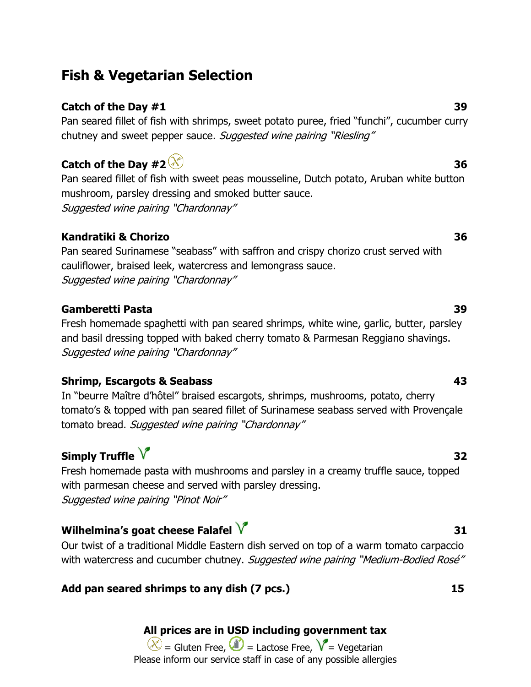# **Fish & Vegetarian Selection**

## **Catch of the Day #1** 39

Pan seared fillet of fish with shrimps, sweet potato puree, fried "funchi", cucumber curry chutney and sweet pepper sauce. Suggested wine pairing "Riesling"

## **Catch of the Day**  $\sharp 2 \mathcal{X}$  36

Pan seared fillet of fish with sweet peas mousseline, Dutch potato, Aruban white button mushroom, parsley dressing and smoked butter sauce. Suggested wine pairing "Chardonnay"

## **Kandratiki & Chorizo 36**

Pan seared Surinamese "seabass" with saffron and crispy chorizo crust served with cauliflower, braised leek, watercress and lemongrass sauce. Suggested wine pairing "Chardonnay"

### **Gamberetti Pasta 39**

Fresh homemade spaghetti with pan seared shrimps, white wine, garlic, butter, parsley and basil dressing topped with baked cherry tomato & Parmesan Reggiano shavings. Suggested wine pairing "Chardonnay"

## **Shrimp, Escargots & Seabass 43**

In "beurre Maître d'hôtel" braised escargots, shrimps, mushrooms, potato, cherry tomato's & topped with pan seared fillet of Surinamese seabass served with Provençale tomato bread. Suggested wine pairing "Chardonnay"

# **Simply Truffle**  $\sqrt{ }$  32

Fresh homemade pasta with mushrooms and parsley in a creamy truffle sauce, topped with parmesan cheese and served with parsley dressing. Suggested wine pairing "Pinot Noir"

## **Wilhelmina's goat cheese Falafel 31**

Our twist of a traditional Middle Eastern dish served on top of a warm tomato carpaccio with watercress and cucumber chutney. Suggested wine pairing "Medium-Bodied Rosé"

## **Add pan seared shrimps to any dish (7 pcs.) 15**

## **All prices are in USD including government tax**

 $\chi$  = Gluten Free,  $\psi$  = Lactose Free,  $\chi$  = Vegetarian Please inform our service staff in case of any possible allergies